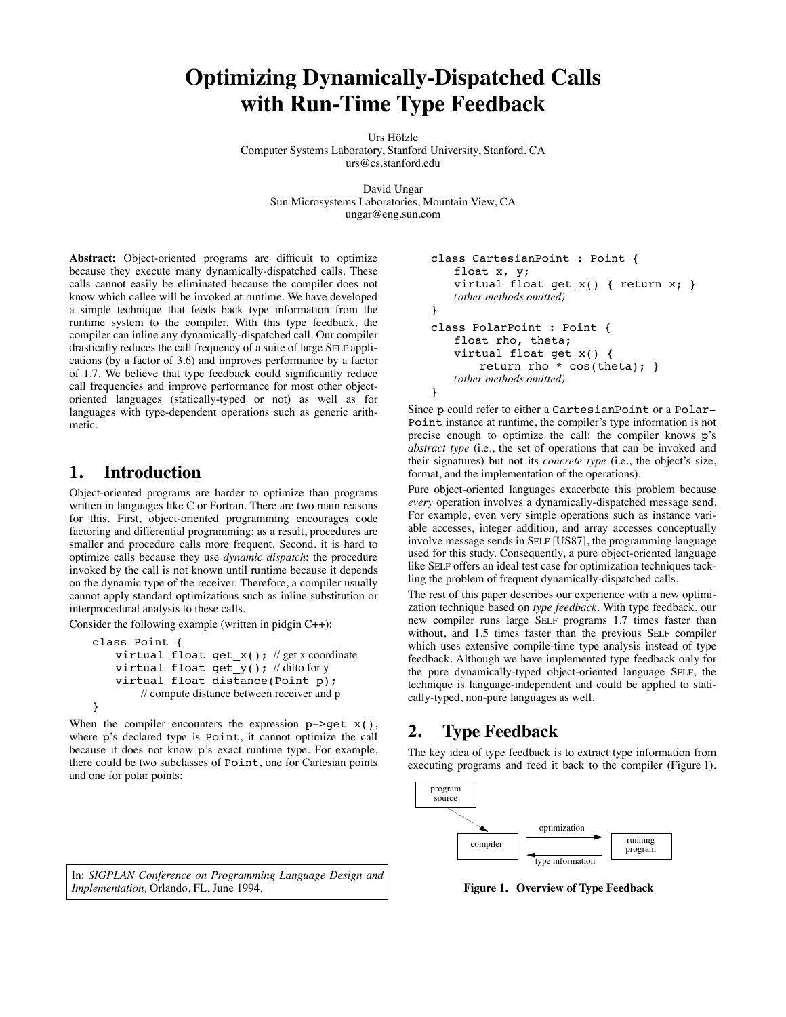# **Optimizing Dynamically-Dispatched Calls with Run-Time Type Feedback**

Urs Hölzle Computer Systems Laboratory, Stanford University, Stanford, CA urs@cs.stanford.edu

David Ungar Sun Microsystems Laboratories, Mountain View, CA ungar@eng.sun.com

**Abstract:** Object-oriented programs are difficult to optimize because they execute many dynamically-dispatched calls. These calls cannot easily be eliminated because the compiler does not know which callee will be invoked at runtime. We have developed a simple technique that feeds back type information from the runtime system to the compiler. With this type feedback, the compiler can inline any dynamically-dispatched call. Our compiler drastically reduces the call frequency of a suite of large SELF applications (by a factor of 3.6) and improves performance by a factor of 1.7. We believe that type feedback could significantly reduce call frequencies and improve performance for most other objectoriented languages (statically-typed or not) as well as for languages with type-dependent operations such as generic arithmetic.

## **1. Introduction**

Object-oriented programs are harder to optimize than programs written in languages like C or Fortran. There are two main reasons for this. First, object-oriented programming encourages code factoring and differential programming; as a result, procedures are smaller and procedure calls more frequent. Second, it is hard to optimize calls because they use *dynamic dispatch*: the procedure invoked by the call is not known until runtime because it depends on the dynamic type of the receiver. Therefore, a compiler usually cannot apply standard optimizations such as inline substitution or interprocedural analysis to these calls.

Consider the following example (written in pidgin  $C_{++}$ ):

```
class Point {
    virtual float get_x(); // get x coordinate
    virtual float get_y(); \# ditto for y
    virtual float distance(Point p);
        // compute distance between receiver and p
}
```
When the compiler encounters the expression  $p$ ->get  $x()$ , where p's declared type is Point, it cannot optimize the call because it does not know p's exact runtime type. For example, there could be two subclasses of Point, one for Cartesian points and one for polar points:

In: *SIGPLAN Conference on Programming Language Design and Implementation,* Orlando, FL, June 1994.

```
class CartesianPoint : Point {
   float x, y;
   virtual float get_x() { return x; }
   (other methods omitted)
}
class PolarPoint : Point {
   float rho, theta;
   virtual float get_x() {
       return rho * cos(theta); }
   (other methods omitted)
}
```
Since p could refer to either a CartesianPoint or a Polar-Point instance at runtime, the compiler's type information is not precise enough to optimize the call: the compiler knows p's *abstract type* (i.e., the set of operations that can be invoked and their signatures) but not its *concrete type* (i.e., the object's size, format, and the implementation of the operations).

Pure object-oriented languages exacerbate this problem because *every* operation involves a dynamically-dispatched message send. For example, even very simple operations such as instance variable accesses, integer addition, and array accesses conceptually involve message sends in SELF [US87], the programming language used for this study. Consequently, a pure object-oriented language like SELF offers an ideal test case for optimization techniques tackling the problem of frequent dynamically-dispatched calls.

The rest of this paper describes our experience with a new optimization technique based on *type feedback*. With type feedback, our new compiler runs large SELF programs 1.7 times faster than without, and 1.5 times faster than the previous SELF compiler which uses extensive compile-time type analysis instead of type feedback. Although we have implemented type feedback only for the pure dynamically-typed object-oriented language SELF, the technique is language-independent and could be applied to statically-typed, non-pure languages as well.

## **2. Type Feedback**

The key idea of type feedback is to extract type information from executing programs and feed it back to the compiler (Figure 1).



**Figure 1. Overview of Type Feedback**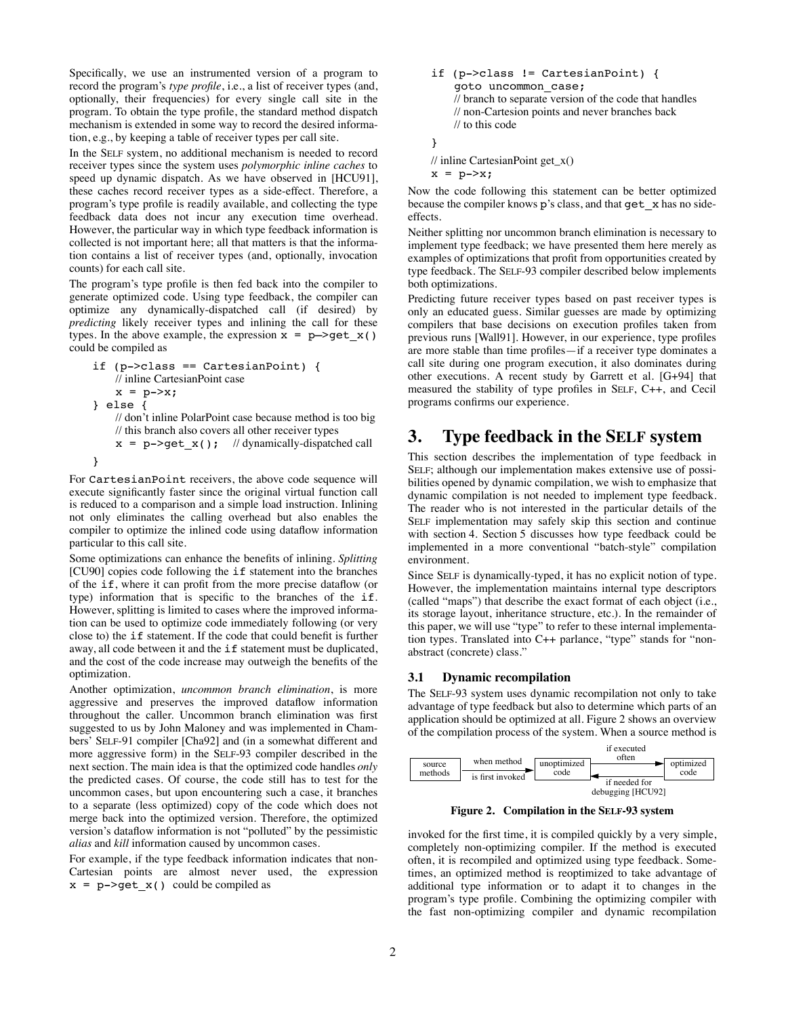Specifically, we use an instrumented version of a program to record the program's *type profile*, i.e., a list of receiver types (and, optionally, their frequencies) for every single call site in the program. To obtain the type profile, the standard method dispatch mechanism is extended in some way to record the desired information, e.g., by keeping a table of receiver types per call site.

In the SELF system, no additional mechanism is needed to record receiver types since the system uses *polymorphic inline caches* to speed up dynamic dispatch. As we have observed in [HCU91], these caches record receiver types as a side-effect. Therefore, a program's type profile is readily available, and collecting the type feedback data does not incur any execution time overhead. However, the particular way in which type feedback information is collected is not important here; all that matters is that the information contains a list of receiver types (and, optionally, invocation counts) for each call site.

The program's type profile is then fed back into the compiler to generate optimized code. Using type feedback, the compiler can optimize any dynamically-dispatched call (if desired) by *predicting* likely receiver types and inlining the call for these types. In the above example, the expression  $x = p \rightarrow q e t x()$ could be compiled as

if (p->class == CartesianPoint) { // inline CartesianPoint case x = p->x; } else {

// this branch also covers all other receiver types

 $x = p$ ->get  $x()$ ; // dynamically-dispatched call

is too big

}

For CartesianPoint receivers, the above code sequence will execute significantly faster since the original virtual function call is reduced to a comparison and a simple load instruction. Inlining not only eliminates the calling overhead but also enables the compiler to optimize the inlined code using dataflow information particular to this call site.

Some optimizations can enhance the benefits of inlining. *Splitting* [CU90] copies code following the if statement into the branches of the if, where it can profit from the more precise dataflow (or type) information that is specific to the branches of the if. However, splitting is limited to cases where the improved information can be used to optimize code immediately following (or very close to) the if statement. If the code that could benefit is further away, all code between it and the if statement must be duplicated, and the cost of the code increase may outweigh the benefits of the optimization.

Another optimization, *uncommon branch elimination*, is more aggressive and preserves the improved dataflow information throughout the caller. Uncommon branch elimination was first suggested to us by John Maloney and was implemented in Chambers' SELF-91 compiler [Cha92] and (in a somewhat different and more aggressive form) in the SELF-93 compiler described in the next section. The main idea is that the optimized code handles *only* the predicted cases. Of course, the code still has to test for the uncommon cases, but upon encountering such a case, it branches to a separate (less optimized) copy of the code which does not merge back into the optimized version. Therefore, the optimized version's dataflow information is not "polluted" by the pessimistic *alias* and *kill* information caused by uncommon cases.

For example, if the type feedback information indicates that non-Cartesian points are almost never used, the expression  $x = p - 2qet x()$  could be compiled as

if (p->class != CartesianPoint) { goto uncommon\_case; // branch to separate version of the code that handles // non-Cartesion points and never branches back // to this code }

// inline CartesianPoint get\_x()

 $x = n - \geq x$ :

Now the code following this statement can be better optimized because the compiler knows p's class, and that get\_x has no sideeffects.

Neither splitting nor uncommon branch elimination is necessary to implement type feedback; we have presented them here merely as examples of optimizations that profit from opportunities created by type feedback. The SELF-93 compiler described below implements both optimizations.

Predicting future receiver types based on past receiver types is only an educated guess. Similar guesses are made by optimizing compilers that base decisions on execution profiles taken from previous runs [Wall91]. However, in our experience, type profiles are more stable than time profiles—if a receiver type dominates a call site during one program execution, it also dominates during other executions. A recent study by Garrett et al. [G+94] that measured the stability of type profiles in SELF, C++, and Cecil programs confirms our experience.

## **3. Type feedback in the SELF system**

This section describes the implementation of type feedback in SELF; although our implementation makes extensive use of possibilities opened by dynamic compilation, we wish to emphasize that dynamic compilation is not needed to implement type feedback. The reader who is not interested in the particular details of the SELF implementation may safely skip this section and continue with section 4. Section 5 discusses how type feedback could be implemented in a more conventional "batch-style" compilation environment.

Since SELF is dynamically-typed, it has no explicit notion of type. However, the implementation maintains internal type descriptors (called "maps") that describe the exact format of each object (i.e., its storage layout, inheritance structure, etc.). In the remainder of this paper, we will use "type" to refer to these internal implementation types. Translated into C++ parlance, "type" stands for "nonabstract (concrete) class."

## **3.1 Dynamic recompilation**

The SELF-93 system uses dynamic recompilation not only to take advantage of type feedback but also to determine which parts of an application should be optimized at all. Figure 2 shows an overview of the compilation process of the system. When a source method is



**Figure 2. Compilation in the SELF-93 system**

invoked for the first time, it is compiled quickly by a very simple, completely non-optimizing compiler. If the method is executed often, it is recompiled and optimized using type feedback. Sometimes, an optimized method is reoptimized to take advantage of additional type information or to adapt it to changes in the program's type profile. Combining the optimizing compiler with the fast non-optimizing compiler and dynamic recompilation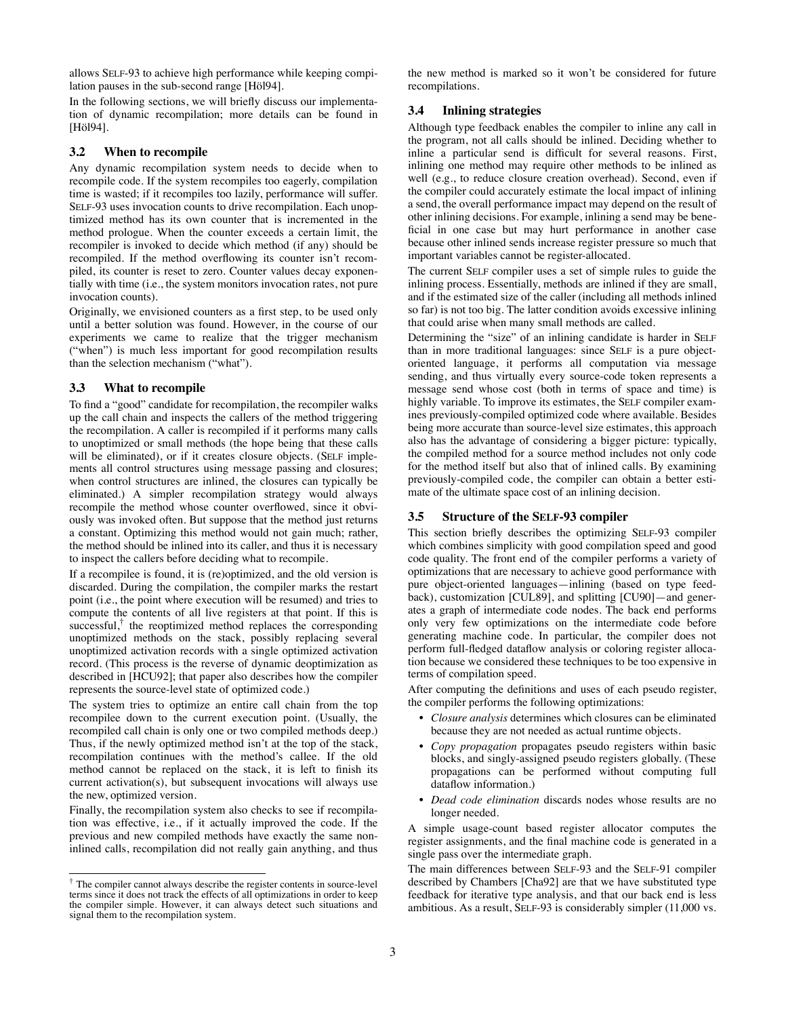allows SELF-93 to achieve high performance while keeping compilation pauses in the sub-second range [Höl94].

In the following sections, we will briefly discuss our implementation of dynamic recompilation; more details can be found in [Höl94].

#### **3.2 When to recompile**

Any dynamic recompilation system needs to decide when to recompile code. If the system recompiles too eagerly, compilation time is wasted; if it recompiles too lazily, performance will suffer. SELF-93 uses invocation counts to drive recompilation. Each unoptimized method has its own counter that is incremented in the method prologue. When the counter exceeds a certain limit, the recompiler is invoked to decide which method (if any) should be recompiled. If the method overflowing its counter isn't recompiled, its counter is reset to zero. Counter values decay exponentially with time (i.e., the system monitors invocation rates, not pure invocation counts).

Originally, we envisioned counters as a first step, to be used only until a better solution was found. However, in the course of our experiments we came to realize that the trigger mechanism ("when") is much less important for good recompilation results than the selection mechanism ("what").

#### **3.3 What to recompile**

To find a "good" candidate for recompilation, the recompiler walks up the call chain and inspects the callers of the method triggering the recompilation. A caller is recompiled if it performs many calls to unoptimized or small methods (the hope being that these calls will be eliminated), or if it creates closure objects. (SELF implements all control structures using message passing and closures; when control structures are inlined, the closures can typically be eliminated.) A simpler recompilation strategy would always recompile the method whose counter overflowed, since it obviously was invoked often. But suppose that the method just returns a constant. Optimizing this method would not gain much; rather, the method should be inlined into its caller, and thus it is necessary to inspect the callers before deciding what to recompile.

If a recompilee is found, it is (re)optimized, and the old version is discarded. During the compilation, the compiler marks the restart point (i.e., the point where execution will be resumed) and tries to compute the contents of all live registers at that point. If this is successful,<sup>†</sup> the reoptimized method replaces the corresponding unoptimized methods on the stack, possibly replacing several unoptimized activation records with a single optimized activation record. (This process is the reverse of dynamic deoptimization as described in [HCU92]; that paper also describes how the compiler represents the source-level state of optimized code.)

The system tries to optimize an entire call chain from the top recompilee down to the current execution point. (Usually, the recompiled call chain is only one or two compiled methods deep.) Thus, if the newly optimized method isn't at the top of the stack, recompilation continues with the method's callee. If the old method cannot be replaced on the stack, it is left to finish its current activation(s), but subsequent invocations will always use the new, optimized version.

Finally, the recompilation system also checks to see if recompilation was effective, i.e., if it actually improved the code. If the previous and new compiled methods have exactly the same noninlined calls, recompilation did not really gain anything, and thus

the new method is marked so it won't be considered for future recompilations.

### **3.4 Inlining strategies**

Although type feedback enables the compiler to inline any call in the program, not all calls should be inlined. Deciding whether to inline a particular send is difficult for several reasons. First, inlining one method may require other methods to be inlined as well (e.g., to reduce closure creation overhead). Second, even if the compiler could accurately estimate the local impact of inlining a send, the overall performance impact may depend on the result of other inlining decisions. For example, inlining a send may be beneficial in one case but may hurt performance in another case because other inlined sends increase register pressure so much that important variables cannot be register-allocated.

The current SELF compiler uses a set of simple rules to guide the inlining process. Essentially, methods are inlined if they are small, and if the estimated size of the caller (including all methods inlined so far) is not too big. The latter condition avoids excessive inlining that could arise when many small methods are called.

Determining the "size" of an inlining candidate is harder in SELF than in more traditional languages: since SELF is a pure objectoriented language, it performs all computation via message sending, and thus virtually every source-code token represents a message send whose cost (both in terms of space and time) is highly variable. To improve its estimates, the SELF compiler examines previously-compiled optimized code where available. Besides being more accurate than source-level size estimates, this approach also has the advantage of considering a bigger picture: typically, the compiled method for a source method includes not only code for the method itself but also that of inlined calls. By examining previously-compiled code, the compiler can obtain a better estimate of the ultimate space cost of an inlining decision.

#### **3.5 Structure of the SELF-93 compiler**

This section briefly describes the optimizing SELF-93 compiler which combines simplicity with good compilation speed and good code quality. The front end of the compiler performs a variety of optimizations that are necessary to achieve good performance with pure object-oriented languages—inlining (based on type feedback), customization [CUL89], and splitting [CU90]—and generates a graph of intermediate code nodes. The back end performs only very few optimizations on the intermediate code before generating machine code. In particular, the compiler does not perform full-fledged dataflow analysis or coloring register allocation because we considered these techniques to be too expensive in terms of compilation speed.

After computing the definitions and uses of each pseudo register, the compiler performs the following optimizations:

- *Closure analysis* determines which closures can be eliminated because they are not needed as actual runtime objects.
- *Copy propagation* propagates pseudo registers within basic blocks, and singly-assigned pseudo registers globally. (These propagations can be performed without computing full dataflow information.)
- *Dead code elimination* discards nodes whose results are no longer needed.

A simple usage-count based register allocator computes the register assignments, and the final machine code is generated in a single pass over the intermediate graph.

The main differences between SELF-93 and the SELF-91 compiler described by Chambers [Cha92] are that we have substituted type feedback for iterative type analysis, and that our back end is less ambitious. As a result, SELF-93 is considerably simpler (11,000 vs.

<sup>†</sup> The compiler cannot always describe the register contents in source-level terms since it does not track the effects of all optimizations in order to keep the compiler simple. However, it can always detect such situations and signal them to the recompilation system.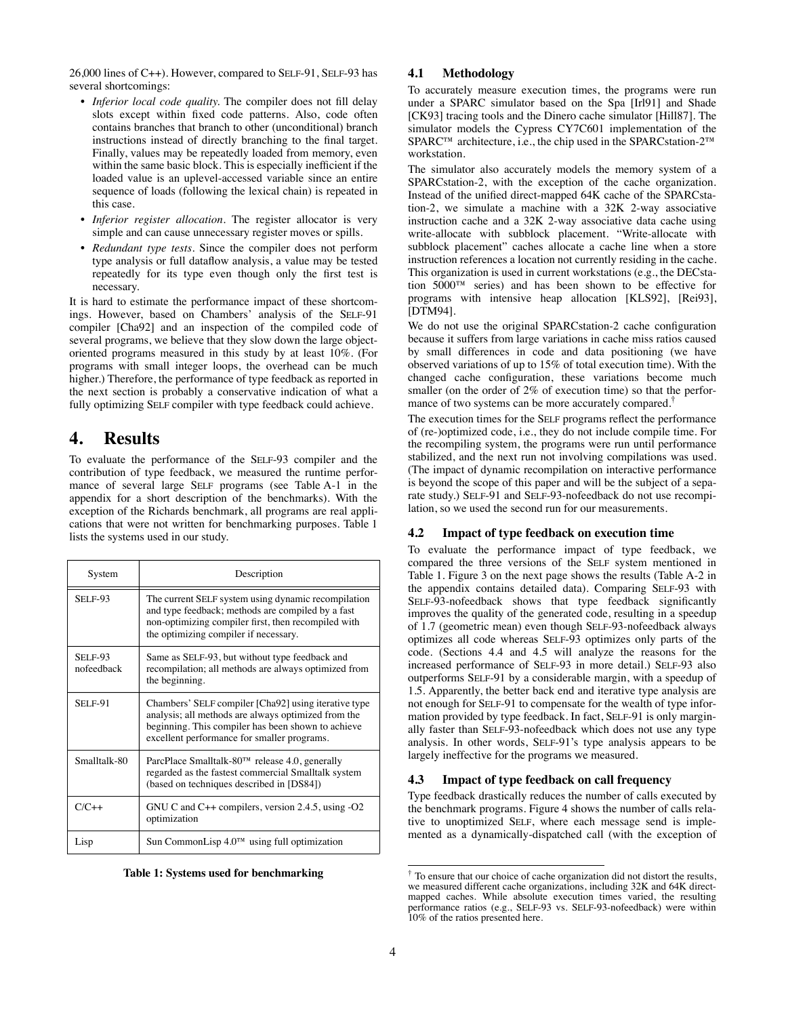26,000 lines of C++). However, compared to SELF-91, SELF-93 has several shortcomings:

- *Inferior local code quality*. The compiler does not fill delay slots except within fixed code patterns. Also, code often contains branches that branch to other (unconditional) branch instructions instead of directly branching to the final target. Finally, values may be repeatedly loaded from memory, even within the same basic block. This is especially inefficient if the loaded value is an uplevel-accessed variable since an entire sequence of loads (following the lexical chain) is repeated in this case.
- *Inferior register allocation*. The register allocator is very simple and can cause unnecessary register moves or spills.
- *Redundant type tests*. Since the compiler does not perform type analysis or full dataflow analysis, a value may be tested repeatedly for its type even though only the first test is necessary.

It is hard to estimate the performance impact of these shortcomings. However, based on Chambers' analysis of the SELF-91 compiler [Cha92] and an inspection of the compiled code of several programs, we believe that they slow down the large objectoriented programs measured in this study by at least 10%. (For programs with small integer loops, the overhead can be much higher.) Therefore, the performance of type feedback as reported in the next section is probably a conservative indication of what a fully optimizing SELF compiler with type feedback could achieve.

## **4. Results**

To evaluate the performance of the SELF-93 compiler and the contribution of type feedback, we measured the runtime performance of several large SELF programs (see Table A-1 in the appendix for a short description of the benchmarks). With the exception of the Richards benchmark, all programs are real applications that were not written for benchmarking purposes. Table 1 lists the systems used in our study.

| System                       | Description                                                                                                                                                                                                      |  |  |
|------------------------------|------------------------------------------------------------------------------------------------------------------------------------------------------------------------------------------------------------------|--|--|
| <b>SELE-93</b>               | The current SELF system using dynamic recompilation<br>and type feedback; methods are compiled by a fast<br>non-optimizing compiler first, then recompiled with<br>the optimizing compiler if necessary.         |  |  |
| <b>SELF-93</b><br>nofeedback | Same as SELF-93, but without type feedback and<br>recompilation; all methods are always optimized from<br>the beginning.                                                                                         |  |  |
| <b>SELE-91</b>               | Chambers' SELF compiler [Cha92] using iterative type<br>analysis; all methods are always optimized from the<br>beginning. This compiler has been shown to achieve<br>excellent performance for smaller programs. |  |  |
| Smalltalk-80                 | ParcPlace Smalltalk-80 $\text{m}$ release 4.0, generally<br>regarded as the fastest commercial Smalltalk system<br>(based on techniques described in [DS84])                                                     |  |  |
| $C/C_{++}$                   | GNU C and C++ compilers, version $2.4.5$ , using $-02$<br>optimization                                                                                                                                           |  |  |
| Lisp                         | Sun CommonLisp $4.0TM$ using full optimization                                                                                                                                                                   |  |  |

**Table 1: Systems used for benchmarking**

### **4.1 Methodology**

To accurately measure execution times, the programs were run under a SPARC simulator based on the Spa [Irl91] and Shade [CK93] tracing tools and the Dinero cache simulator [Hill87]. The simulator models the Cypress CY7C601 implementation of the SPARC™ architecture, i.e., the chip used in the SPARCstation-2™ workstation.

The simulator also accurately models the memory system of a SPARCstation-2, with the exception of the cache organization. Instead of the unified direct-mapped 64K cache of the SPARCstation-2, we simulate a machine with a 32K 2-way associative instruction cache and a 32K 2-way associative data cache using write-allocate with subblock placement. "Write-allocate with subblock placement" caches allocate a cache line when a store instruction references a location not currently residing in the cache. This organization is used in current workstations (e.g., the DECstation 5000™ series) and has been shown to be effective for programs with intensive heap allocation [KLS92], [Rei93], [DTM94].

We do not use the original SPARCstation-2 cache configuration because it suffers from large variations in cache miss ratios caused by small differences in code and data positioning (we have observed variations of up to 15% of total execution time). With the changed cache configuration, these variations become much smaller (on the order of 2% of execution time) so that the performance of two systems can be more accurately compared.†

The execution times for the SELF programs reflect the performance of (re-)optimized code, i.e., they do not include compile time. For the recompiling system, the programs were run until performance stabilized, and the next run not involving compilations was used. (The impact of dynamic recompilation on interactive performance is beyond the scope of this paper and will be the subject of a separate study.) SELF-91 and SELF-93-nofeedback do not use recompilation, so we used the second run for our measurements.

## **4.2 Impact of type feedback on execution time**

To evaluate the performance impact of type feedback, we compared the three versions of the SELF system mentioned in Table 1. Figure 3 on the next page shows the results (Table A-2 in the appendix contains detailed data). Comparing SELF-93 with SELF-93-nofeedback shows that type feedback significantly improves the quality of the generated code, resulting in a speedup of 1.7 (geometric mean) even though SELF-93-nofeedback always optimizes all code whereas SELF-93 optimizes only parts of the code. (Sections 4.4 and 4.5 will analyze the reasons for the increased performance of SELF-93 in more detail.) SELF-93 also outperforms SELF-91 by a considerable margin, with a speedup of 1.5. Apparently, the better back end and iterative type analysis are not enough for SELF-91 to compensate for the wealth of type information provided by type feedback. In fact, SELF-91 is only marginally faster than SELF-93-nofeedback which does not use any type analysis. In other words, SELF-91's type analysis appears to be largely ineffective for the programs we measured.

### **4.3 Impact of type feedback on call frequency**

Type feedback drastically reduces the number of calls executed by the benchmark programs. Figure 4 shows the number of calls relative to unoptimized SELF, where each message send is implemented as a dynamically-dispatched call (with the exception of

<sup>†</sup> To ensure that our choice of cache organization did not distort the results, we measured different cache organizations, including 32K and 64K directmapped caches. While absolute execution times varied, the resulting performance ratios (e.g., SELF-93 vs. SELF-93-nofeedback) were within 10% of the ratios presented here.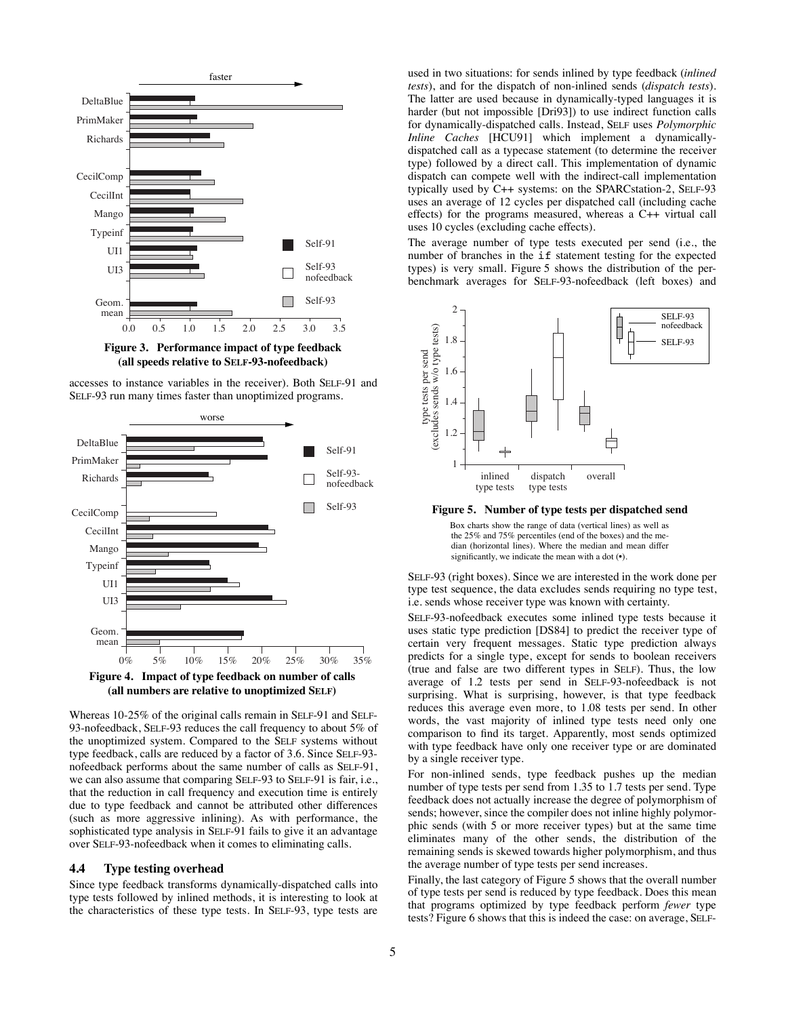

accesses to instance variables in the receiver). Both SELF-91 and SELF-93 run many times faster than unoptimized programs.



Whereas 10-25% of the original calls remain in SELF-91 and SELF-93-nofeedback, SELF-93 reduces the call frequency to about 5% of the unoptimized system. Compared to the SELF systems without type feedback, calls are reduced by a factor of 3.6. Since SELF-93 nofeedback performs about the same number of calls as SELF-91, we can also assume that comparing SELF-93 to SELF-91 is fair, i.e., that the reduction in call frequency and execution time is entirely due to type feedback and cannot be attributed other differences (such as more aggressive inlining). As with performance, the sophisticated type analysis in SELF-91 fails to give it an advantage over SELF-93-nofeedback when it comes to eliminating calls.

## **4.4 Type testing overhead**

Since type feedback transforms dynamically-dispatched calls into type tests followed by inlined methods, it is interesting to look at the characteristics of these type tests. In SELF-93, type tests are used in two situations: for sends inlined by type feedback (*inlined tests*), and for the dispatch of non-inlined sends (*dispatch tests*). The latter are used because in dynamically-typed languages it is harder (but not impossible [Dri93]) to use indirect function calls for dynamically-dispatched calls. Instead, SELF uses *Polymorphic Inline Caches* [HCU91] which implement a dynamicallydispatched call as a typecase statement (to determine the receiver type) followed by a direct call. This implementation of dynamic dispatch can compete well with the indirect-call implementation typically used by C++ systems: on the SPARCstation-2, SELF-93 uses an average of 12 cycles per dispatched call (including cache effects) for the programs measured, whereas a C++ virtual call uses 10 cycles (excluding cache effects).

The average number of type tests executed per send (i.e., the number of branches in the if statement testing for the expected types) is very small. Figure 5 shows the distribution of the perbenchmark averages for SELF-93-nofeedback (left boxes) and



**Figure 5. Number of type tests per dispatched send**

Box charts show the range of data (vertical lines) as well as the 25% and 75% percentiles (end of the boxes) and the median (horizontal lines). Where the median and mean differ significantly, we indicate the mean with a dot  $\left(\bullet\right)$ .

SELF-93 (right boxes). Since we are interested in the work done per type test sequence, the data excludes sends requiring no type test, i.e. sends whose receiver type was known with certainty.

SELF-93-nofeedback executes some inlined type tests because it uses static type prediction [DS84] to predict the receiver type of certain very frequent messages. Static type prediction always predicts for a single type, except for sends to boolean receivers (true and false are two different types in SELF). Thus, the low average of 1.2 tests per send in SELF-93-nofeedback is not surprising. What is surprising, however, is that type feedback reduces this average even more, to 1.08 tests per send. In other words, the vast majority of inlined type tests need only one comparison to find its target. Apparently, most sends optimized with type feedback have only one receiver type or are dominated by a single receiver type.

For non-inlined sends, type feedback pushes up the median number of type tests per send from 1.35 to 1.7 tests per send. Type feedback does not actually increase the degree of polymorphism of sends; however, since the compiler does not inline highly polymorphic sends (with 5 or more receiver types) but at the same time eliminates many of the other sends, the distribution of the remaining sends is skewed towards higher polymorphism, and thus the average number of type tests per send increases.

Finally, the last category of Figure 5 shows that the overall number of type tests per send is reduced by type feedback. Does this mean that programs optimized by type feedback perform *fewer* type tests? Figure 6 shows that this is indeed the case: on average, SELF-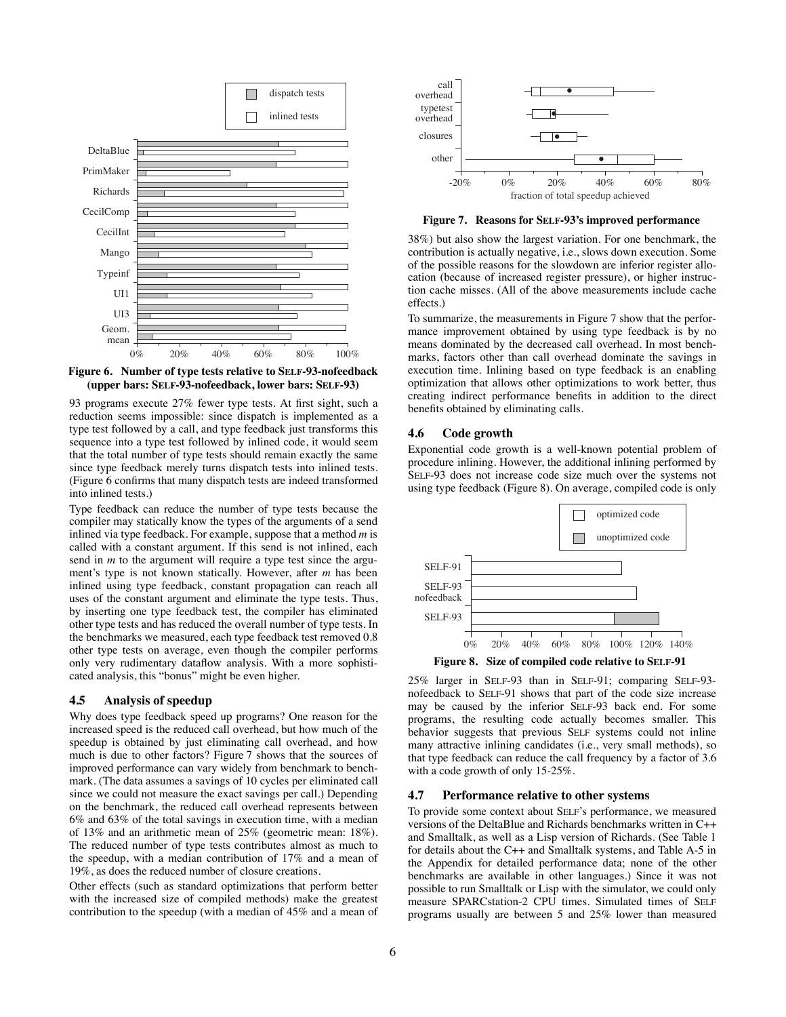

**Figure 6. Number of type tests relative to SELF-93-nofeedback (upper bars: SELF-93-nofeedback, lower bars: SELF-93)**

93 programs execute 27% fewer type tests. At first sight, such a reduction seems impossible: since dispatch is implemented as a type test followed by a call, and type feedback just transforms this sequence into a type test followed by inlined code, it would seem that the total number of type tests should remain exactly the same since type feedback merely turns dispatch tests into inlined tests. (Figure 6 confirms that many dispatch tests are indeed transformed into inlined tests.)

Type feedback can reduce the number of type tests because the compiler may statically know the types of the arguments of a send inlined via type feedback. For example, suppose that a method *m* is called with a constant argument. If this send is not inlined, each send in *m* to the argument will require a type test since the argument's type is not known statically. However, after *m* has been inlined using type feedback, constant propagation can reach all uses of the constant argument and eliminate the type tests. Thus, by inserting one type feedback test, the compiler has eliminated other type tests and has reduced the overall number of type tests. In the benchmarks we measured, each type feedback test removed 0.8 other type tests on average, even though the compiler performs only very rudimentary dataflow analysis. With a more sophisticated analysis, this "bonus" might be even higher.

#### **4.5 Analysis of speedup**

Why does type feedback speed up programs? One reason for the increased speed is the reduced call overhead, but how much of the speedup is obtained by just eliminating call overhead, and how much is due to other factors? Figure 7 shows that the sources of improved performance can vary widely from benchmark to benchmark. (The data assumes a savings of 10 cycles per eliminated call since we could not measure the exact savings per call.) Depending on the benchmark, the reduced call overhead represents between 6% and 63% of the total savings in execution time, with a median of 13% and an arithmetic mean of 25% (geometric mean: 18%). The reduced number of type tests contributes almost as much to the speedup, with a median contribution of 17% and a mean of 19%, as does the reduced number of closure creations.

Other effects (such as standard optimizations that perform better with the increased size of compiled methods) make the greatest contribution to the speedup (with a median of 45% and a mean of



**Figure 7. Reasons for SELF-93's improved performance**

38%) but also show the largest variation. For one benchmark, the contribution is actually negative, i.e., slows down execution. Some of the possible reasons for the slowdown are inferior register allocation (because of increased register pressure), or higher instruction cache misses. (All of the above measurements include cache effects.)

To summarize, the measurements in Figure 7 show that the performance improvement obtained by using type feedback is by no means dominated by the decreased call overhead. In most benchmarks, factors other than call overhead dominate the savings in execution time. Inlining based on type feedback is an enabling optimization that allows other optimizations to work better, thus creating indirect performance benefits in addition to the direct benefits obtained by eliminating calls.

#### **4.6 Code growth**

Exponential code growth is a well-known potential problem of procedure inlining. However, the additional inlining performed by SELF-93 does not increase code size much over the systems not using type feedback (Figure 8). On average, compiled code is only



**Figure 8. Size of compiled code relative to SELF-91**

25% larger in SELF-93 than in SELF-91; comparing SELF-93 nofeedback to SELF-91 shows that part of the code size increase may be caused by the inferior SELF-93 back end. For some programs, the resulting code actually becomes smaller. This behavior suggests that previous SELF systems could not inline many attractive inlining candidates (i.e., very small methods), so that type feedback can reduce the call frequency by a factor of 3.6 with a code growth of only 15-25%.

#### **4.7 Performance relative to other systems**

To provide some context about SELF's performance, we measured versions of the DeltaBlue and Richards benchmarks written in C++ and Smalltalk, as well as a Lisp version of Richards. (See Table 1 for details about the C++ and Smalltalk systems, and Table A-5 in the Appendix for detailed performance data; none of the other benchmarks are available in other languages.) Since it was not possible to run Smalltalk or Lisp with the simulator, we could only measure SPARCstation-2 CPU times. Simulated times of SELF programs usually are between 5 and 25% lower than measured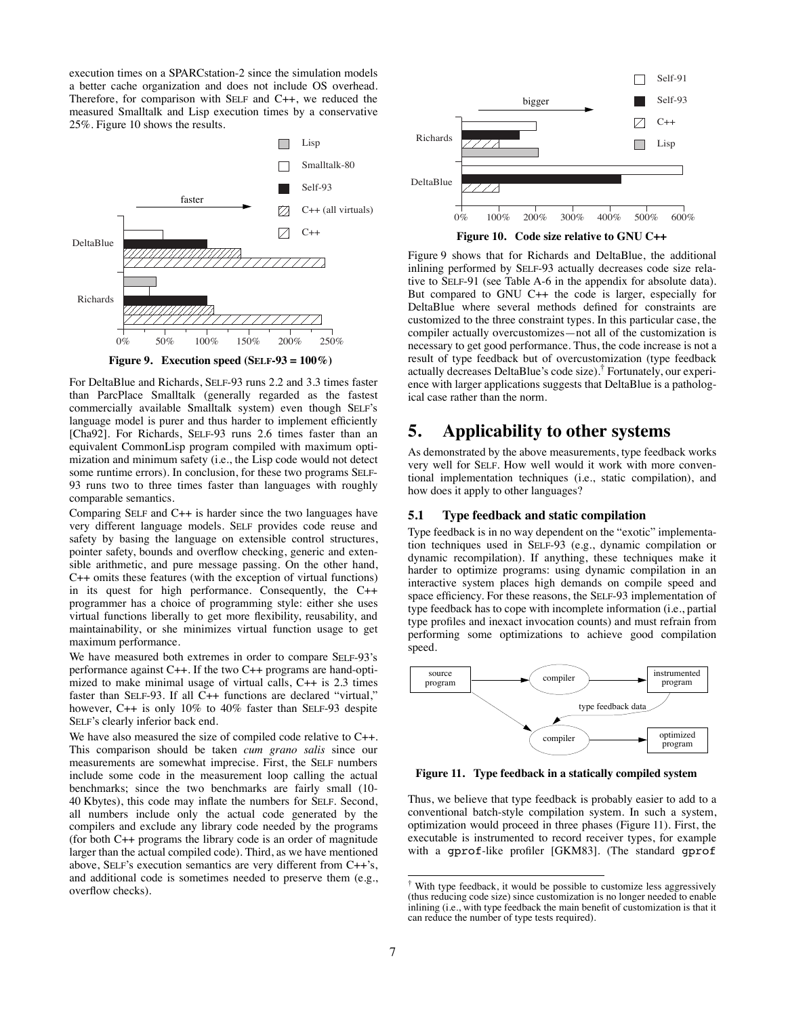execution times on a SPARCstation-2 since the simulation models a better cache organization and does not include OS overhead. Therefore, for comparison with SELF and C++, we reduced the measured Smalltalk and Lisp execution times by a conservative 25%. Figure 10 shows the results.



**Figure 9. Execution speed (SELF-93 = 100%)**

For DeltaBlue and Richards, SELF-93 runs 2.2 and 3.3 times faster than ParcPlace Smalltalk (generally regarded as the fastest commercially available Smalltalk system) even though SELF's language model is purer and thus harder to implement efficiently [Cha92]. For Richards, SELF-93 runs 2.6 times faster than an equivalent CommonLisp program compiled with maximum optimization and minimum safety (i.e., the Lisp code would not detect some runtime errors). In conclusion, for these two programs SELF-93 runs two to three times faster than languages with roughly comparable semantics.

Comparing SELF and C++ is harder since the two languages have very different language models. SELF provides code reuse and safety by basing the language on extensible control structures, pointer safety, bounds and overflow checking, generic and extensible arithmetic, and pure message passing. On the other hand, C++ omits these features (with the exception of virtual functions) in its quest for high performance. Consequently, the C++ programmer has a choice of programming style: either she uses virtual functions liberally to get more flexibility, reusability, and maintainability, or she minimizes virtual function usage to get maximum performance.

We have measured both extremes in order to compare SELF-93's performance against C++. If the two C++ programs are hand-optimized to make minimal usage of virtual calls, C++ is 2.3 times faster than SELF-93. If all C++ functions are declared "virtual," however, C++ is only 10% to 40% faster than SELF-93 despite SELF's clearly inferior back end.

We have also measured the size of compiled code relative to  $C_{++}$ . This comparison should be taken *cum grano salis* since our measurements are somewhat imprecise. First, the SELF numbers include some code in the measurement loop calling the actual benchmarks; since the two benchmarks are fairly small (10- 40 Kbytes), this code may inflate the numbers for SELF. Second, all numbers include only the actual code generated by the compilers and exclude any library code needed by the programs (for both C++ programs the library code is an order of magnitude larger than the actual compiled code). Third, as we have mentioned above, SELF's execution semantics are very different from C++'s, and additional code is sometimes needed to preserve them (e.g., overflow checks).



**Figure 10. Code size relative to GNU C++**

Figure 9 shows that for Richards and DeltaBlue, the additional inlining performed by SELF-93 actually decreases code size relative to SELF-91 (see Table A-6 in the appendix for absolute data). But compared to GNU C++ the code is larger, especially for DeltaBlue where several methods defined for constraints are customized to the three constraint types. In this particular case, the compiler actually overcustomizes—not all of the customization is necessary to get good performance. Thus, the code increase is not a result of type feedback but of overcustomization (type feedback actually decreases DeltaBlue's code size).† Fortunately, our experience with larger applications suggests that DeltaBlue is a pathological case rather than the norm.

## **5. Applicability to other systems**

As demonstrated by the above measurements, type feedback works very well for SELF. How well would it work with more conventional implementation techniques (i.e., static compilation), and how does it apply to other languages?

### **5.1 Type feedback and static compilation**

Type feedback is in no way dependent on the "exotic" implementation techniques used in SELF-93 (e.g., dynamic compilation or dynamic recompilation). If anything, these techniques make it harder to optimize programs: using dynamic compilation in an interactive system places high demands on compile speed and space efficiency. For these reasons, the SELF-93 implementation of type feedback has to cope with incomplete information (i.e., partial type profiles and inexact invocation counts) and must refrain from performing some optimizations to achieve good compilation speed.



**Figure 11. Type feedback in a statically compiled system**

Thus, we believe that type feedback is probably easier to add to a conventional batch-style compilation system. In such a system, optimization would proceed in three phases (Figure 11). First, the executable is instrumented to record receiver types, for example with a gprof-like profiler [GKM83]. (The standard gprof

<sup>†</sup> With type feedback, it would be possible to customize less aggressively (thus reducing code size) since customization is no longer needed to enable inlining (i.e., with type feedback the main benefit of customization is that it can reduce the number of type tests required).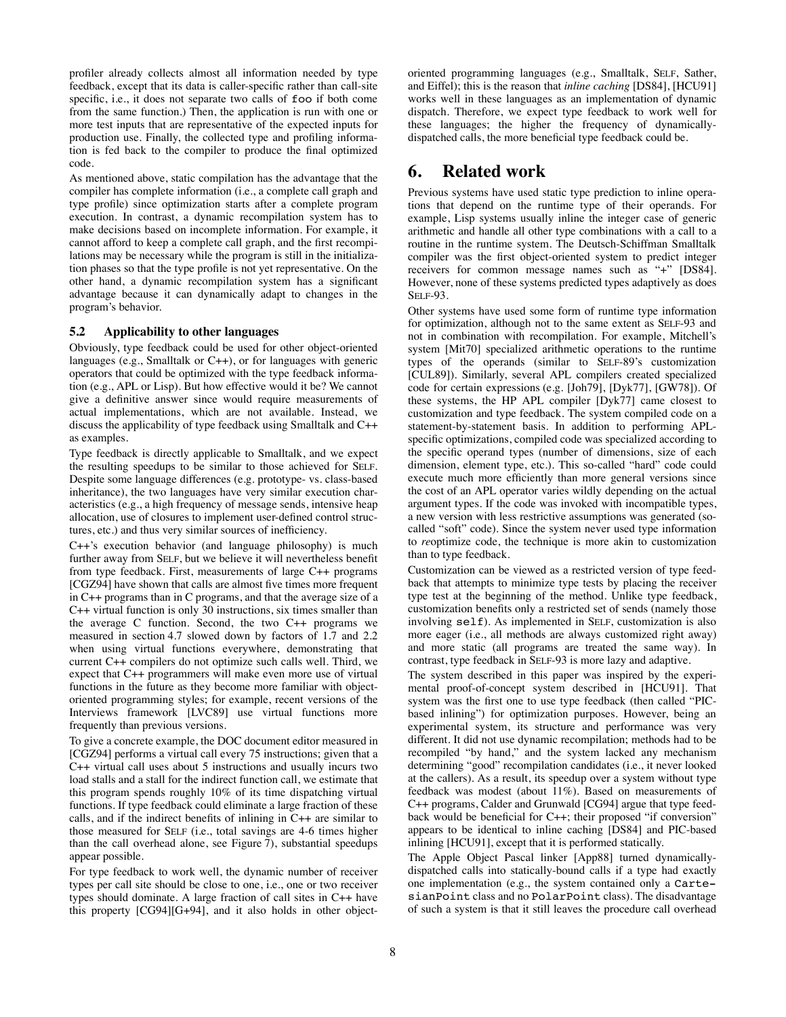profiler already collects almost all information needed by type feedback, except that its data is caller-specific rather than call-site specific, i.e., it does not separate two calls of foo if both come from the same function.) Then, the application is run with one or more test inputs that are representative of the expected inputs for production use. Finally, the collected type and profiling information is fed back to the compiler to produce the final optimized code.

As mentioned above, static compilation has the advantage that the compiler has complete information (i.e., a complete call graph and type profile) since optimization starts after a complete program execution. In contrast, a dynamic recompilation system has to make decisions based on incomplete information. For example, it cannot afford to keep a complete call graph, and the first recompilations may be necessary while the program is still in the initialization phases so that the type profile is not yet representative. On the other hand, a dynamic recompilation system has a significant advantage because it can dynamically adapt to changes in the program's behavior.

### **5.2 Applicability to other languages**

Obviously, type feedback could be used for other object-oriented languages (e.g., Smalltalk or C++), or for languages with generic operators that could be optimized with the type feedback information (e.g., APL or Lisp). But how effective would it be? We cannot give a definitive answer since would require measurements of actual implementations, which are not available. Instead, we discuss the applicability of type feedback using Smalltalk and C++ as examples.

Type feedback is directly applicable to Smalltalk, and we expect the resulting speedups to be similar to those achieved for SELF. Despite some language differences (e.g. prototype- vs. class-based inheritance), the two languages have very similar execution characteristics (e.g., a high frequency of message sends, intensive heap allocation, use of closures to implement user-defined control structures, etc.) and thus very similar sources of inefficiency.

C++'s execution behavior (and language philosophy) is much further away from SELF, but we believe it will nevertheless benefit from type feedback. First, measurements of large C++ programs [CGZ94] have shown that calls are almost five times more frequent in C++ programs than in C programs, and that the average size of a C++ virtual function is only 30 instructions, six times smaller than the average C function. Second, the two C++ programs we measured in section 4.7 slowed down by factors of 1.7 and 2.2 when using virtual functions everywhere, demonstrating that current C++ compilers do not optimize such calls well. Third, we expect that C++ programmers will make even more use of virtual functions in the future as they become more familiar with objectoriented programming styles; for example, recent versions of the Interviews framework [LVC89] use virtual functions more frequently than previous versions.

To give a concrete example, the DOC document editor measured in [CGZ94] performs a virtual call every 75 instructions; given that a C++ virtual call uses about 5 instructions and usually incurs two load stalls and a stall for the indirect function call, we estimate that this program spends roughly 10% of its time dispatching virtual functions. If type feedback could eliminate a large fraction of these calls, and if the indirect benefits of inlining in C++ are similar to those measured for SELF (i.e., total savings are 4-6 times higher than the call overhead alone, see Figure 7), substantial speedups appear possible.

For type feedback to work well, the dynamic number of receiver types per call site should be close to one, i.e., one or two receiver types should dominate. A large fraction of call sites in C++ have this property [CG94][G+94], and it also holds in other objectoriented programming languages (e.g., Smalltalk, SELF, Sather, and Eiffel); this is the reason that *inline caching* [DS84], [HCU91] works well in these languages as an implementation of dynamic dispatch. Therefore, we expect type feedback to work well for these languages; the higher the frequency of dynamicallydispatched calls, the more beneficial type feedback could be.

## **6. Related work**

Previous systems have used static type prediction to inline operations that depend on the runtime type of their operands. For example, Lisp systems usually inline the integer case of generic arithmetic and handle all other type combinations with a call to a routine in the runtime system. The Deutsch-Schiffman Smalltalk compiler was the first object-oriented system to predict integer receivers for common message names such as "+" [DS84]. However, none of these systems predicted types adaptively as does SELF-93.

Other systems have used some form of runtime type information for optimization, although not to the same extent as SELF-93 and not in combination with recompilation. For example, Mitchell's system [Mit70] specialized arithmetic operations to the runtime types of the operands (similar to SELF-89's customization [CUL89]). Similarly, several APL compilers created specialized code for certain expressions (e.g. [Joh79], [Dyk77], [GW78]). Of these systems, the HP APL compiler [Dyk77] came closest to customization and type feedback. The system compiled code on a statement-by-statement basis. In addition to performing APLspecific optimizations, compiled code was specialized according to the specific operand types (number of dimensions, size of each dimension, element type, etc.). This so-called "hard" code could execute much more efficiently than more general versions since the cost of an APL operator varies wildly depending on the actual argument types. If the code was invoked with incompatible types, a new version with less restrictive assumptions was generated (socalled "soft" code). Since the system never used type information to *re*optimize code, the technique is more akin to customization than to type feedback.

Customization can be viewed as a restricted version of type feedback that attempts to minimize type tests by placing the receiver type test at the beginning of the method. Unlike type feedback, customization benefits only a restricted set of sends (namely those involving self). As implemented in SELF, customization is also more eager (i.e., all methods are always customized right away) and more static (all programs are treated the same way). In contrast, type feedback in SELF-93 is more lazy and adaptive.

The system described in this paper was inspired by the experimental proof-of-concept system described in [HCU91]. That system was the first one to use type feedback (then called "PICbased inlining") for optimization purposes. However, being an experimental system, its structure and performance was very different. It did not use dynamic recompilation; methods had to be recompiled "by hand," and the system lacked any mechanism determining "good" recompilation candidates (i.e., it never looked at the callers). As a result, its speedup over a system without type feedback was modest (about 11%). Based on measurements of C++ programs, Calder and Grunwald [CG94] argue that type feedback would be beneficial for C++; their proposed "if conversion" appears to be identical to inline caching [DS84] and PIC-based inlining [HCU91], except that it is performed statically.

The Apple Object Pascal linker [App88] turned dynamicallydispatched calls into statically-bound calls if a type had exactly one implementation (e.g., the system contained only a CartesianPoint class and no PolarPoint class). The disadvantage of such a system is that it still leaves the procedure call overhead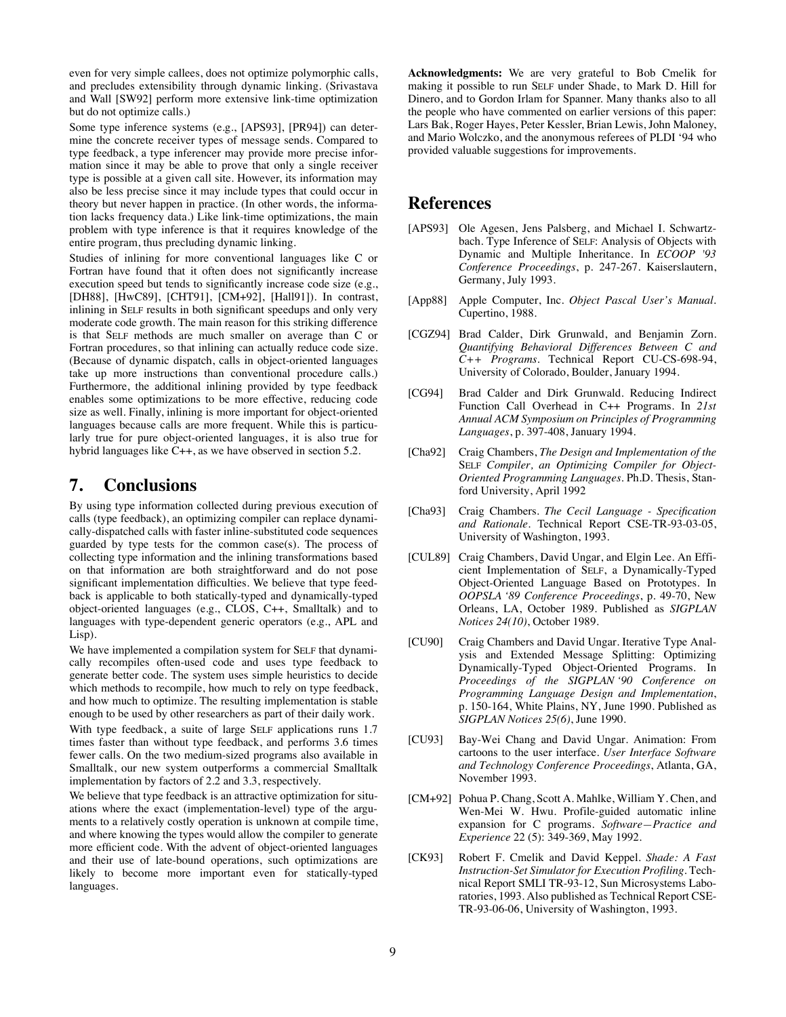even for very simple callees, does not optimize polymorphic calls, and precludes extensibility through dynamic linking. (Srivastava and Wall [SW92] perform more extensive link-time optimization but do not optimize calls.)

Some type inference systems (e.g., [APS93], [PR94]) can determine the concrete receiver types of message sends. Compared to type feedback, a type inferencer may provide more precise information since it may be able to prove that only a single receiver type is possible at a given call site. However, its information may also be less precise since it may include types that could occur in theory but never happen in practice. (In other words, the information lacks frequency data.) Like link-time optimizations, the main problem with type inference is that it requires knowledge of the entire program, thus precluding dynamic linking.

Studies of inlining for more conventional languages like C or Fortran have found that it often does not significantly increase execution speed but tends to significantly increase code size (e.g., [DH88], [HwC89], [CHT91], [CM+92], [Hall91]). In contrast, inlining in SELF results in both significant speedups and only very moderate code growth. The main reason for this striking difference is that SELF methods are much smaller on average than C or Fortran procedures, so that inlining can actually reduce code size. (Because of dynamic dispatch, calls in object-oriented languages take up more instructions than conventional procedure calls.) Furthermore, the additional inlining provided by type feedback enables some optimizations to be more effective, reducing code size as well. Finally, inlining is more important for object-oriented languages because calls are more frequent. While this is particularly true for pure object-oriented languages, it is also true for hybrid languages like C++, as we have observed in section 5.2.

## **7. Conclusions**

By using type information collected during previous execution of calls (type feedback), an optimizing compiler can replace dynamically-dispatched calls with faster inline-substituted code sequences guarded by type tests for the common case(s). The process of collecting type information and the inlining transformations based on that information are both straightforward and do not pose significant implementation difficulties. We believe that type feedback is applicable to both statically-typed and dynamically-typed object-oriented languages (e.g., CLOS, C++, Smalltalk) and to languages with type-dependent generic operators (e.g., APL and Lisp).

We have implemented a compilation system for SELF that dynamically recompiles often-used code and uses type feedback to generate better code. The system uses simple heuristics to decide which methods to recompile, how much to rely on type feedback, and how much to optimize. The resulting implementation is stable enough to be used by other researchers as part of their daily work.

With type feedback, a suite of large SELF applications runs 1.7 times faster than without type feedback, and performs 3.6 times fewer calls. On the two medium-sized programs also available in Smalltalk, our new system outperforms a commercial Smalltalk implementation by factors of 2.2 and 3.3, respectively.

We believe that type feedback is an attractive optimization for situations where the exact (implementation-level) type of the arguments to a relatively costly operation is unknown at compile time, and where knowing the types would allow the compiler to generate more efficient code. With the advent of object-oriented languages and their use of late-bound operations, such optimizations are likely to become more important even for statically-typed languages.

**Acknowledgments:** We are very grateful to Bob Cmelik for making it possible to run SELF under Shade, to Mark D. Hill for Dinero, and to Gordon Irlam for Spanner. Many thanks also to all the people who have commented on earlier versions of this paper: Lars Bak, Roger Hayes, Peter Kessler, Brian Lewis, John Maloney, and Mario Wolczko, and the anonymous referees of PLDI '94 who provided valuable suggestions for improvements.

## **References**

- [APS93] Ole Agesen, Jens Palsberg, and Michael I. Schwartzbach. Type Inference of SELF: Analysis of Objects with Dynamic and Multiple Inheritance. In *ECOOP '93 Conference Proceedings*, p. 247-267. Kaiserslautern, Germany, July 1993.
- [App88] Apple Computer, Inc. *Object Pascal User's Manual*. Cupertino, 1988.
- [CGZ94] Brad Calder, Dirk Grunwald, and Benjamin Zorn. *Quantifying Behavioral Differences Between C and C++ Programs*. Technical Report CU-CS-698-94, University of Colorado, Boulder, January 1994.
- [CG94] Brad Calder and Dirk Grunwald. Reducing Indirect Function Call Overhead in C++ Programs. In *21st Annual ACM Symposium on Principles of Programming Languages*, p. 397-408, January 1994.
- [Cha92] Craig Chambers, *The Design and Implementation of the* SELF *Compiler, an Optimizing Compiler for Object-Oriented Programming Languages*. Ph.D. Thesis, Stanford University, April 1992
- [Cha93] Craig Chambers. *The Cecil Language Specification and Rationale*. Technical Report CSE-TR-93-03-05, University of Washington, 1993.
- [CUL89] Craig Chambers, David Ungar, and Elgin Lee. An Efficient Implementation of SELF, a Dynamically-Typed Object-Oriented Language Based on Prototypes. In *OOPSLA '89 Conference Proceedings*, p. 49-70, New Orleans, LA, October 1989. Published as *SIGPLAN Notices 24(10)*, October 1989.
- [CU90] Craig Chambers and David Ungar. Iterative Type Analysis and Extended Message Splitting: Optimizing Dynamically-Typed Object-Oriented Programs. In *Proceedings of the SIGPLAN '90 Conference on Programming Language Design and Implementation*, p. 150-164, White Plains, NY, June 1990. Published as *SIGPLAN Notices 25(6)*, June 1990.
- [CU93] Bay-Wei Chang and David Ungar. Animation: From cartoons to the user interface. *User Interface Software and Technology Conference Proceedings*, Atlanta, GA, November 1993.
- [CM+92] Pohua P. Chang, Scott A. Mahlke, William Y. Chen, and Wen-Mei W. Hwu. Profile-guided automatic inline expansion for C programs. *Software—Practice and Experience* 22 (5): 349-369, May 1992.
- [CK93] Robert F. Cmelik and David Keppel. *Shade: A Fast Instruction-Set Simulator for Execution Profiling*. Technical Report SMLI TR-93-12, Sun Microsystems Laboratories, 1993. Also published as Technical Report CSE-TR-93-06-06, University of Washington, 1993.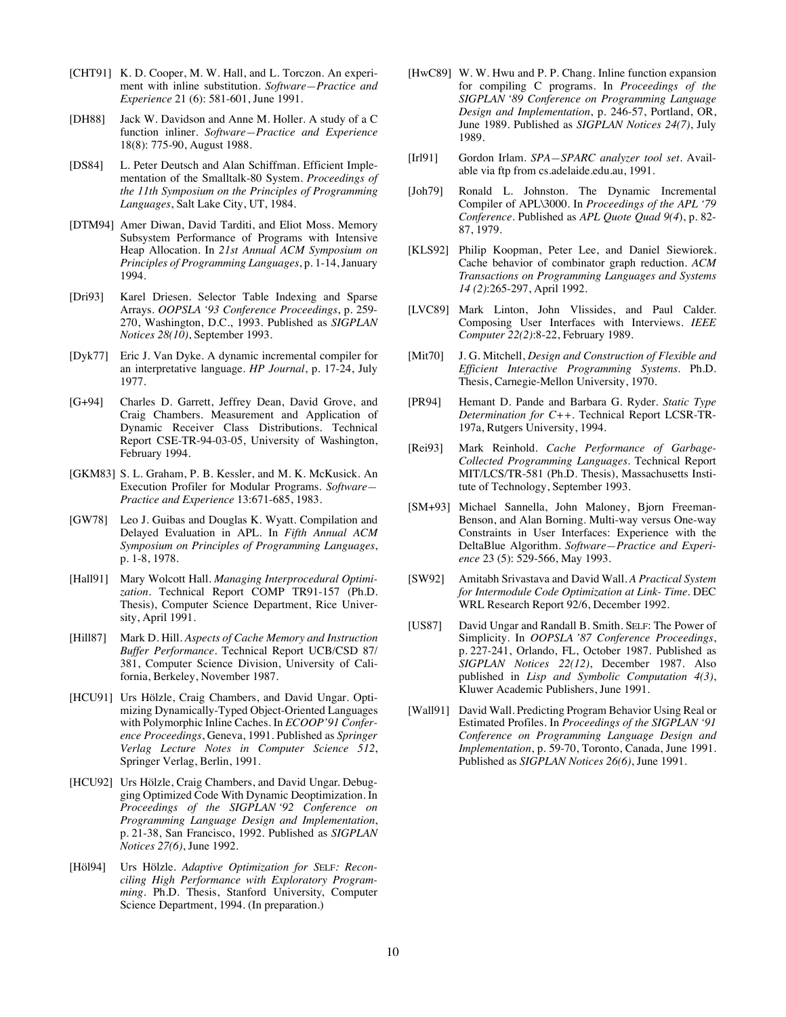- [CHT91] K. D. Cooper, M. W. Hall, and L. Torczon. An experiment with inline substitution. *Software—Practice and Experience* 21 (6): 581-601, June 1991.
- [DH88] Jack W. Davidson and Anne M. Holler. A study of a C function inliner. *Software—Practice and Experience* 18(8): 775-90, August 1988.
- [DS84] L. Peter Deutsch and Alan Schiffman. Efficient Implementation of the Smalltalk-80 System. *Proceedings of the 11th Symposium on the Principles of Programming Languages*, Salt Lake City, UT, 1984.
- [DTM94] Amer Diwan, David Tarditi, and Eliot Moss. Memory Subsystem Performance of Programs with Intensive Heap Allocation. In *21st Annual ACM Symposium on Principles of Programming Languages*, p. 1-14, January 1994.
- [Dri93] Karel Driesen. Selector Table Indexing and Sparse Arrays. *OOPSLA '93 Conference Proceedings*, p. 259- 270, Washington, D.C., 1993. Published as *SIGPLAN Notices 28(10)*, September 1993.
- [Dyk77] Eric J. Van Dyke. A dynamic incremental compiler for an interpretative language. *HP Journal*, p. 17-24, July 1977.
- [G+94] Charles D. Garrett, Jeffrey Dean, David Grove, and Craig Chambers. Measurement and Application of Dynamic Receiver Class Distributions. Technical Report CSE-TR-94-03-05, University of Washington, February 1994.
- [GKM83] S. L. Graham, P. B. Kessler, and M. K. McKusick. An Execution Profiler for Modular Programs. *Software— Practice and Experience* 13:671-685, 1983.
- [GW78] Leo J. Guibas and Douglas K. Wyatt. Compilation and Delayed Evaluation in APL. In *Fifth Annual ACM Symposium on Principles of Programming Languages*, p. 1-8, 1978.
- [Hall91] Mary Wolcott Hall. *Managing Interprocedural Optimization.* Technical Report COMP TR91-157 (Ph.D. Thesis), Computer Science Department, Rice University, April 1991.
- [Hill87] Mark D. Hill. *Aspects of Cache Memory and Instruction Buffer Performance.* Technical Report UCB/CSD 87/ 381, Computer Science Division, University of California, Berkeley, November 1987.
- [HCU91] Urs Hölzle, Craig Chambers, and David Ungar. Optimizing Dynamically-Typed Object-Oriented Languages with Polymorphic Inline Caches. In *ECOOP'91 Conference Proceedings*, Geneva, 1991. Published as *Springer Verlag Lecture Notes in Computer Science 512*, Springer Verlag, Berlin, 1991.
- [HCU92] Urs Hölzle, Craig Chambers, and David Ungar. Debugging Optimized Code With Dynamic Deoptimization. In *Proceedings of the SIGPLAN '92 Conference on Programming Language Design and Implementation*, p. 21-38, San Francisco, 1992. Published as *SIGPLAN Notices 27(6)*, June 1992.
- [Höl94] Urs Hölzle. *Adaptive Optimization for S*ELF*: Reconciling High Performance with Exploratory Programming.* Ph.D. Thesis, Stanford University, Computer Science Department, 1994. (In preparation.)
- [HwC89] W. W. Hwu and P. P. Chang. Inline function expansion for compiling C programs. In *Proceedings of the SIGPLAN '89 Conference on Programming Language Design and Implementation*, p. 246-57, Portland, OR, June 1989. Published as *SIGPLAN Notices 24(7)*, July 1989.
- [Irl91] Gordon Irlam. *SPA—SPARC analyzer tool set.* Available via ftp from cs.adelaide.edu.au, 1991.
- [Joh79] Ronald L. Johnston. The Dynamic Incremental Compiler of APL\3000. In *Proceedings of the APL '79 Conference*. Published as *APL Quote Quad 9(4*), p. 82- 87, 1979.
- [KLS92] Philip Koopman, Peter Lee, and Daniel Siewiorek. Cache behavior of combinator graph reduction. *ACM Transactions on Programming Languages and Systems 14 (2)*:265-297, April 1992.
- [LVC89] Mark Linton, John Vlissides, and Paul Calder. Composing User Interfaces with Interviews. *IEEE Computer 22(2)*:8-22, February 1989.
- [Mit70] J. G. Mitchell, *Design and Construction of Flexible and Efficient Interactive Programming Systems*. Ph.D. Thesis, Carnegie-Mellon University, 1970.
- [PR94] Hemant D. Pande and Barbara G. Ryder. *Static Type Determination for C++*. Technical Report LCSR-TR-197a, Rutgers University, 1994.
- [Rei93] Mark Reinhold. *Cache Performance of Garbage-Collected Programming Languages*. Technical Report MIT/LCS/TR-581 (Ph.D. Thesis), Massachusetts Institute of Technology, September 1993.
- [SM+93] Michael Sannella, John Maloney, Bjorn Freeman-Benson, and Alan Borning. Multi-way versus One-way Constraints in User Interfaces: Experience with the DeltaBlue Algorithm. *Software—Practice and Experience* 23 (5): 529-566, May 1993.
- [SW92] Amitabh Srivastava and David Wall. *A Practical System for Intermodule Code Optimization at Link- Time*. DEC WRL Research Report 92/6, December 1992.
- [US87] David Ungar and Randall B. Smith. SELF: The Power of Simplicity. In *OOPSLA '87 Conference Proceedings*, p. 227-241, Orlando, FL, October 1987. Published as *SIGPLAN Notices 22(12)*, December 1987. Also published in *Lisp and Symbolic Computation 4(3)*, Kluwer Academic Publishers, June 1991.
- [Wall91] David Wall. Predicting Program Behavior Using Real or Estimated Profiles. In *Proceedings of the SIGPLAN '91 Conference on Programming Language Design and Implementation*, p. 59-70, Toronto, Canada, June 1991. Published as *SIGPLAN Notices 26(6)*, June 1991.